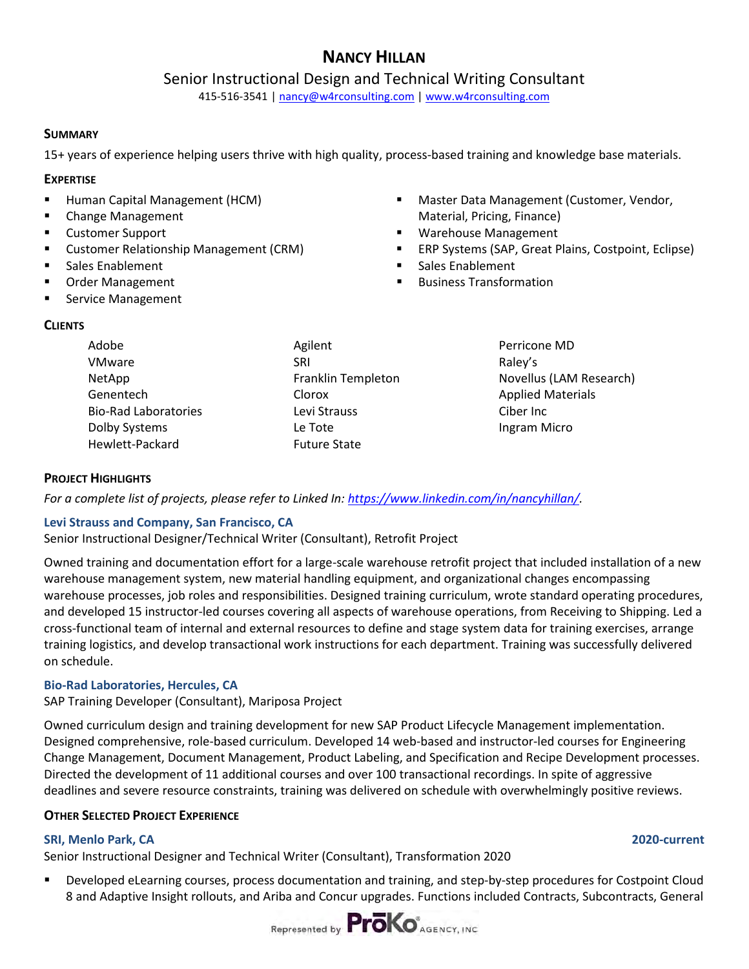# **NANCY HILLAN**

### Senior Instructional Design and Technical Writing Consultant

415-516-3541 | [nancy@w4rconsulting.com](mailto:nancy@w4rconsulting.com) | [www.w4rconsulting.com](http://www.w4rconsulting.com/) 

#### **SUMMARY**

15+ years of experience helping users thrive with high quality, process-based training and knowledge base materials.

#### **EXPERTISE**

- **Human Capital Management (HCM)**
- **E** Change Management
- Customer Support
- **E** Customer Relationship Management (CRM)
- Sales Enablement
- Order Management
- **Service Management**

#### **CLIENTS**

| Adobe                       | Agilent             |
|-----------------------------|---------------------|
| VMware                      | <b>SRI</b>          |
| NetApp                      | Franklin Templeton  |
| Genentech                   | Clorox              |
| <b>Bio-Rad Laboratories</b> | Levi Strauss        |
| Dolby Systems               | Le Tote             |
| Hewlett-Packard             | <b>Future State</b> |

- **Master Data Management (Customer, Vendor,** Material, Pricing, Finance)
- Warehouse Management
- ERP Systems (SAP, Great Plains, Costpoint, Eclipse)
- Sales Enablement
- Business Transformation
	- Perricone MD Raley's Novellus (LAM Research) Applied Materials Ciber Inc Ingram Micro

### **PROJECT HIGHLIGHTS**

*For a complete list of projects, please refer to Linked In: [https://www.linkedin.com/in/nancyhillan/.](https://www.linkedin.com/in/nancyhillan/)* 

### **Levi Strauss and Company, San Francisco, CA**

Senior Instructional Designer/Technical Writer (Consultant), Retrofit Project

Owned training and documentation effort for a large-scale warehouse retrofit project that included installation of a new warehouse management system, new material handling equipment, and organizational changes encompassing warehouse processes, job roles and responsibilities. Designed training curriculum, wrote standard operating procedures, and developed 15 instructor-led courses covering all aspects of warehouse operations, from Receiving to Shipping. Led a cross-functional team of internal and external resources to define and stage system data for training exercises, arrange training logistics, and develop transactional work instructions for each department. Training was successfully delivered on schedule.

### **Bio-Rad Laboratories, Hercules, CA**

SAP Training Developer (Consultant), Mariposa Project

Owned curriculum design and training development for new SAP Product Lifecycle Management implementation. Designed comprehensive, role-based curriculum. Developed 14 web-based and instructor-led courses for Engineering Change Management, Document Management, Product Labeling, and Specification and Recipe Development processes. Directed the development of 11 additional courses and over 100 transactional recordings. In spite of aggressive deadlines and severe resource constraints, training was delivered on schedule with overwhelmingly positive reviews.

#### **OTHER SELECTED PROJECT EXPERIENCE**

#### **SRI, Menlo Park, CA 2020-current**

Senior Instructional Designer and Technical Writer (Consultant), Transformation 2020

 Developed eLearning courses, process documentation and training, and step-by-step procedures for Costpoint Cloud 8 and Adaptive Insight rollouts, and Ariba and Concur upgrades. Functions included Contracts, Subcontracts, General